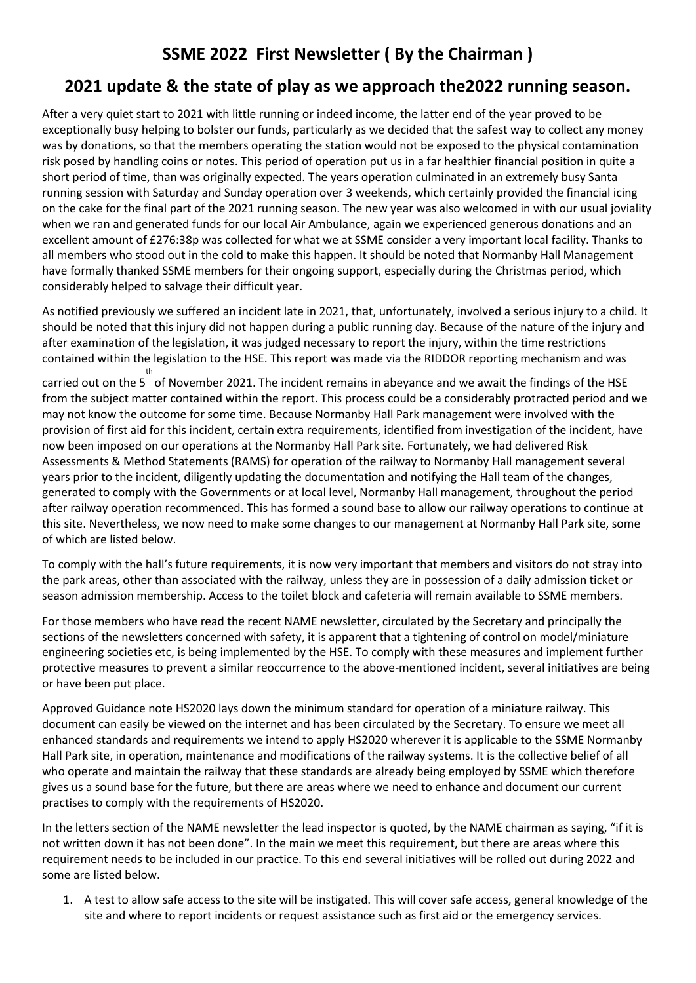# **SSME 2022 First Newsletter ( By the Chairman )**

## **2021 update & the state of play as we approach the2022 running season.**

After a very quiet start to 2021 with little running or indeed income, the latter end of the year proved to be exceptionally busy helping to bolster our funds, particularly as we decided that the safest way to collect any money was by donations, so that the members operating the station would not be exposed to the physical contamination risk posed by handling coins or notes. This period of operation put us in a far healthier financial position in quite a short period of time, than was originally expected. The years operation culminated in an extremely busy Santa running session with Saturday and Sunday operation over 3 weekends, which certainly provided the financial icing on the cake for the final part of the 2021 running season. The new year was also welcomed in with our usual joviality when we ran and generated funds for our local Air Ambulance, again we experienced generous donations and an excellent amount of £276:38p was collected for what we at SSME consider a very important local facility. Thanks to all members who stood out in the cold to make this happen. It should be noted that Normanby Hall Management have formally thanked SSME members for their ongoing support, especially during the Christmas period, which considerably helped to salvage their difficult year.

As notified previously we suffered an incident late in 2021, that, unfortunately, involved a serious injury to a child. It should be noted that this injury did not happen during a public running day. Because of the nature of the injury and after examination of the legislation, it was judged necessary to report the injury, within the time restrictions contained within the legislation to the HSE. This report was made via the RIDDOR reporting mechanism and was

carried out on the 5 of November 2021. The incident remains in abeyance and we await the findings of the HSE th from the subject matter contained within the report. This process could be a considerably protracted period and we may not know the outcome for some time. Because Normanby Hall Park management were involved with the provision of first aid for this incident, certain extra requirements, identified from investigation of the incident, have now been imposed on our operations at the Normanby Hall Park site. Fortunately, we had delivered Risk Assessments & Method Statements (RAMS) for operation of the railway to Normanby Hall management several years prior to the incident, diligently updating the documentation and notifying the Hall team of the changes, generated to comply with the Governments or at local level, Normanby Hall management, throughout the period after railway operation recommenced. This has formed a sound base to allow our railway operations to continue at this site. Nevertheless, we now need to make some changes to our management at Normanby Hall Park site, some of which are listed below.

To comply with the hall's future requirements, it is now very important that members and visitors do not stray into the park areas, other than associated with the railway, unless they are in possession of a daily admission ticket or season admission membership. Access to the toilet block and cafeteria will remain available to SSME members.

For those members who have read the recent NAME newsletter, circulated by the Secretary and principally the sections of the newsletters concerned with safety, it is apparent that a tightening of control on model/miniature engineering societies etc, is being implemented by the HSE. To comply with these measures and implement further protective measures to prevent a similar reoccurrence to the above-mentioned incident, several initiatives are being or have been put place.

Approved Guidance note HS2020 lays down the minimum standard for operation of a miniature railway. This document can easily be viewed on the internet and has been circulated by the Secretary. To ensure we meet all enhanced standards and requirements we intend to apply HS2020 wherever it is applicable to the SSME Normanby Hall Park site, in operation, maintenance and modifications of the railway systems. It is the collective belief of all who operate and maintain the railway that these standards are already being employed by SSME which therefore gives us a sound base for the future, but there are areas where we need to enhance and document our current practises to comply with the requirements of HS2020.

In the letters section of the NAME newsletter the lead inspector is quoted, by the NAME chairman as saying, "if it is not written down it has not been done". In the main we meet this requirement, but there are areas where this requirement needs to be included in our practice. To this end several initiatives will be rolled out during 2022 and some are listed below.

1. A test to allow safe access to the site will be instigated. This will cover safe access, general knowledge of the site and where to report incidents or request assistance such as first aid or the emergency services.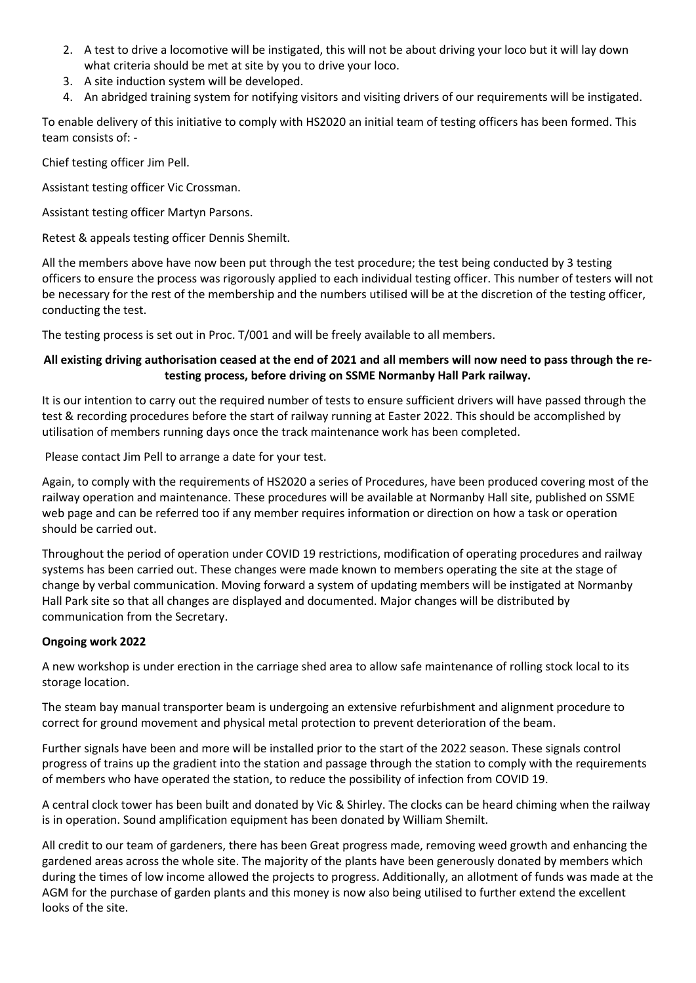- 2. A test to drive a locomotive will be instigated, this will not be about driving your loco but it will lay down what criteria should be met at site by you to drive your loco.
- 3. A site induction system will be developed.
- 4. An abridged training system for notifying visitors and visiting drivers of our requirements will be instigated.

To enable delivery of this initiative to comply with HS2020 an initial team of testing officers has been formed. This team consists of: -

Chief testing officer Jim Pell.

Assistant testing officer Vic Crossman.

Assistant testing officer Martyn Parsons.

Retest & appeals testing officer Dennis Shemilt.

All the members above have now been put through the test procedure; the test being conducted by 3 testing officers to ensure the process was rigorously applied to each individual testing officer. This number of testers will not be necessary for the rest of the membership and the numbers utilised will be at the discretion of the testing officer, conducting the test.

The testing process is set out in Proc. T/001 and will be freely available to all members.

## **All existing driving authorisation ceased at the end of 2021 and all members will now need to pass through the retesting process, before driving on SSME Normanby Hall Park railway.**

It is our intention to carry out the required number of tests to ensure sufficient drivers will have passed through the test & recording procedures before the start of railway running at Easter 2022. This should be accomplished by utilisation of members running days once the track maintenance work has been completed.

Please contact Jim Pell to arrange a date for your test.

Again, to comply with the requirements of HS2020 a series of Procedures, have been produced covering most of the railway operation and maintenance. These procedures will be available at Normanby Hall site, published on SSME web page and can be referred too if any member requires information or direction on how a task or operation should be carried out.

Throughout the period of operation under COVID 19 restrictions, modification of operating procedures and railway systems has been carried out. These changes were made known to members operating the site at the stage of change by verbal communication. Moving forward a system of updating members will be instigated at Normanby Hall Park site so that all changes are displayed and documented. Major changes will be distributed by communication from the Secretary.

## **Ongoing work 2022**

A new workshop is under erection in the carriage shed area to allow safe maintenance of rolling stock local to its storage location.

The steam bay manual transporter beam is undergoing an extensive refurbishment and alignment procedure to correct for ground movement and physical metal protection to prevent deterioration of the beam.

Further signals have been and more will be installed prior to the start of the 2022 season. These signals control progress of trains up the gradient into the station and passage through the station to comply with the requirements of members who have operated the station, to reduce the possibility of infection from COVID 19.

A central clock tower has been built and donated by Vic & Shirley. The clocks can be heard chiming when the railway is in operation. Sound amplification equipment has been donated by William Shemilt.

All credit to our team of gardeners, there has been Great progress made, removing weed growth and enhancing the gardened areas across the whole site. The majority of the plants have been generously donated by members which during the times of low income allowed the projects to progress. Additionally, an allotment of funds was made at the AGM for the purchase of garden plants and this money is now also being utilised to further extend the excellent looks of the site.